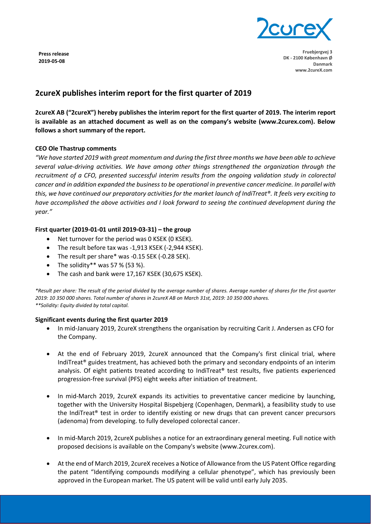

**Fruebjergvej 3 DK - 2100 København Ø Danmark www.2cureX.com**

#### **Press release 2019-05-08**

# **2cureX publishes interim report for the first quarter of 2019**

**2cureX AB ("2cureX") hereby publishes the interim report for the first quarter of 2019. The interim report is available as an attached document as well as on the company's website (www.2curex.com). Below follows a short summary of the report.** 

## **CEO Ole Thastrup comments**

*"We have started 2019 with great momentum and during the first three months we have been able to achieve several value-driving activities. We have among other things strengthened the organization through the recruitment of a CFO, presented successful interim results from the ongoing validation study in colorectal cancer and in addition expanded the business to be operational in preventive cancer medicine. In parallel with this, we have continued our preparatory activities for the market launch of IndiTreat®. It feels very exciting to have accomplished the above activities and I look forward to seeing the continued development during the year."*

# **First quarter (2019-01-01 until 2019-03-31) – the group**

- Net turnover for the period was 0 KSEK (0 KSEK).
- The result before tax was -1,913 KSEK (-2,944 KSEK).
- The result per share\* was -0.15 SEK (-0.28 SEK).
- The solidity\*\* was 57 % (53 %).
- The cash and bank were 17,167 KSEK (30,675 KSEK).

*\*Result per share: The result of the period divided by the average number of shares. Average number of shares for the first quarter 2019: 10 350 000 shares. Total number of shares in 2cureX AB on March 31st, 2019: 10 350 000 shares. \*\*Solidity: Equity divided by total capital.*

## **Significant events during the first quarter 2019**

- In mid-January 2019, 2cureX strengthens the organisation by recruiting Carit J. Andersen as CFO for the Company.
- At the end of February 2019, 2cureX announced that the Company's first clinical trial, where IndiTreat® guides treatment, has achieved both the primary and secondary endpoints of an interim analysis. Of eight patients treated according to IndiTreat® test results, five patients experienced progression-free survival (PFS) eight weeks after initiation of treatment.
- In mid-March 2019, 2cureX expands its activities to preventative cancer medicine by launching, together with the University Hospital Bispebjerg (Copenhagen, Denmark), a feasibility study to use the IndiTreat® test in order to identify existing or new drugs that can prevent cancer precursors (adenoma) from developing. to fully developed colorectal cancer.
- In mid-March 2019, 2cureX publishes a notice for an extraordinary general meeting. Full notice with proposed decisions is available on the Company's website (www.2curex.com).
- At the end of March 2019, 2cureX receives a Notice of Allowance from the US Patent Office regarding the patent "Identifying compounds modifying a cellular phenotype", which has previously been approved in the European market. The US patent will be valid until early July 2035.